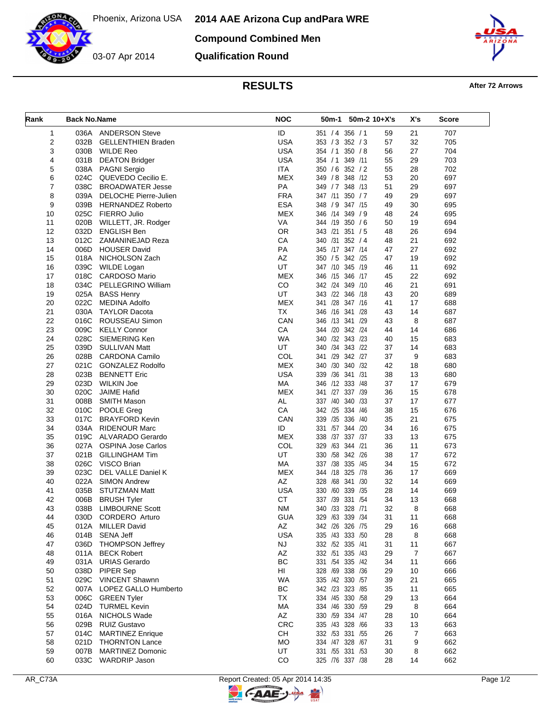Phoenix, Arizona USA



**Compound Combined Men**

**Qualification Round**



## **RESULTS After 72 Arrows**

| Rank | <b>Back No.Name</b> |                           | <b>NOC</b>  | 50m-2 10+X's<br>50m-1 |    | X's | Score |
|------|---------------------|---------------------------|-------------|-----------------------|----|-----|-------|
| 1    |                     | 036A ANDERSON Steve       | ID          | 351 / 4 356 / 1       | 59 | 21  | 707   |
| 2    | 032B                | <b>GELLENTHIEN Braden</b> | <b>USA</b>  | 353 / 3 352 / 3       | 57 | 32  | 705   |
| 3    | 030B                | <b>WILDE Reo</b>          | <b>USA</b>  | 350 / 8<br>354 / 1    | 56 | 27  | 704   |
| 4    | 031B                | <b>DEATON Bridger</b>     | <b>USA</b>  | 354 / 1<br>349 /11    | 55 | 29  | 703   |
| 5    |                     | 038A PAGNI Sergio         | ITA         | 350 / 6 352 / 2       | 55 | 28  | 702   |
| 6    |                     | 024C QUEVEDO Cecilio E.   | <b>MEX</b>  | 349 / 8 348 / 12      | 53 | 20  | 697   |
| 7    | 038C                | <b>BROADWATER Jesse</b>   | PA          | 349 / 7 348 / 13      | 51 | 29  | 697   |
| 8    | 039A                | DELOCHE Pierre-Julien     | <b>FRA</b>  | 347 /11 350 / 7       | 49 | 29  | 697   |
| 9    |                     | 039B HERNANDEZ Roberto    | <b>ESA</b>  | 348 / 9 347 /15       | 49 | 30  | 695   |
| 10   |                     | 025C FIERRO Julio         | <b>MEX</b>  | 346 /14 349 / 9       | 48 | 24  | 695   |
| 11   | 020B                | WILLETT, JR. Rodger       | VA          | 344 /19 350 / 6       | 50 | 19  | 694   |
| 12   | 032D                | <b>ENGLISH Ben</b>        | <b>OR</b>   | 343 /21 351 / 5       | 48 | 26  | 694   |
| 13   |                     | 012C ZAMANINEJAD Reza     | CA          | 340 /31<br>352 / 4    | 48 | 21  | 692   |
| 14   | 006D                | <b>HOUSER David</b>       | PA          | 345 /17 347 /14       | 47 | 27  | 692   |
| 15   | 018A                | NICHOLSON Zach            | AZ          | 350 / 5 342 /25       | 47 | 19  | 692   |
| 16   | 039C                | WILDE Logan               | UT          | 347 /10 345 /19       | 46 | 11  | 692   |
| 17   | 018C                | CARDOSO Mario             | <b>MEX</b>  | 346 /15 346 /17       | 45 | 22  | 692   |
| 18   | 034C                | PELLEGRINO William        | $_{\rm CO}$ | 342 /24 349 /10       | 46 | 21  | 691   |
| 19   | 025A                | <b>BASS Henry</b>         | UT          | 343 /22 346 /18       | 43 | 20  | 689   |
| 20   | 022C                | <b>MEDINA Adolfo</b>      | <b>MEX</b>  | 341 /28 347 /16       | 41 | 17  | 688   |
| 21   |                     | 030A TAYLOR Dacota        | <b>TX</b>   | 346 /16 341 /28       | 43 | 14  | 687   |
| 22   | 016C                | ROUSSEAU Simon            | CAN         | 346 /13 341 /29       | 43 | 8   | 687   |
| 23   | 009C                | <b>KELLY Connor</b>       | CA          | 344 /20 342 /24       | 44 | 14  | 686   |
| 24   | 028C                | SIEMERING Ken             | <b>WA</b>   | 340 /32 343 /23       | 40 | 15  | 683   |
| 25   | 039D                | <b>SULLIVAN Matt</b>      | UT          | 340 /34 343 /22       | 37 | 14  | 683   |
| 26   |                     | 028B CARDONA Camilo       | COL         | 341 /29 342 /27       | 37 | 9   | 683   |
| 27   |                     | 021C GONZALEZ Rodolfo     | <b>MEX</b>  | 340 /32<br>340 /30    | 42 | 18  | 680   |
| 28   | 023B                | <b>BENNETT Eric</b>       | <b>USA</b>  | 339 /36 341 /31       | 38 | 13  | 680   |
| 29   | 023D                | WILKIN Joe                | MA          | 346 /12 333 /48       | 37 | 17  | 679   |
| 30   | 020C                | <b>JAIME Hafid</b>        | <b>MEX</b>  | 341 /27 337 /39       | 36 | 15  | 678   |
| 31   | 008B                | <b>SMITH Mason</b>        | AL          | 337 /40 340 /33       | 37 | 17  | 677   |
| 32   |                     | 010C POOLE Greg           | CA          | 342 /25<br>334<br>/46 | 38 | 15  | 676   |
| 33   | 017C                | <b>BRAYFORD Kevin</b>     | CAN         | 339 /35<br>336<br>/40 | 35 | 21  | 675   |
| 34   | 034A                | <b>RIDENOUR Marc</b>      | ID          | 331 /57 344 /20       | 34 | 16  | 675   |
| 35   |                     | 019C ALVARADO Gerardo     | <b>MEX</b>  | 338 /37 337 /37       | 33 | 13  | 675   |
| 36   | 027A                | <b>OSPINA Jose Carlos</b> | COL         | 329 /63<br>344 /21    | 36 | 11  | 673   |
| 37   | 021B                | <b>GILLINGHAM Tim</b>     | UT          | 330 /58 342 /26       | 38 | 17  | 672   |
| 38   |                     | 026C VISCO Brian          | MA          | 337 /38 335<br>/45    | 34 | 15  | 672   |
| 39   | 023C                | <b>DEL VALLE Daniel K</b> | <b>MEX</b>  | 344 /18<br>325 /78    | 36 | 17  | 669   |
| 40   | 022A                | <b>SIMON Andrew</b>       | AZ          | 328 /68 341 /30       | 32 | 14  | 669   |
| 41   | 035B                | <b>STUTZMAN Matt</b>      | <b>USA</b>  | 330 /60 339 /35       | 28 | 14  | 669   |
| 42   | 006B                | <b>BRUSH Tyler</b>        | <b>CT</b>   | 337 /39 331 /54       | 34 | 13  | 668   |
| 43   | 038B                | <b>LIMBOURNE Scott</b>    | <b>NM</b>   | 340 /33 328 /71       | 32 | 8   | 668   |
| 44   |                     | 030D CORDERO Arturo       | <b>GUA</b>  | 329 /63 339 /34       | 31 | 11  | 668   |
| 45   | 012A                | <b>MILLER David</b>       | AZ          | 342 /26 326 /75       | 29 | 16  | 668   |
| 46   | 014B                | SENA Jeff                 | <b>USA</b>  | 335 /43 333 /50       | 28 | 8   | 668   |
| 47   | 036D                | <b>THOMPSON Jeffrey</b>   | <b>NJ</b>   | 332 /52 335 /41       | 31 | 11  | 667   |
| 48   | 011A                | <b>BECK Robert</b>        | AZ          | 332 /51 335 /43       | 29 | 7   | 667   |
| 49   | 031A                | <b>URIAS Gerardo</b>      | BC          | 331 /54 335 /42       | 34 | 11  | 666   |
| 50   | 038D                | PIPER Sep                 | HI          | 328 /69 338 /36       | 29 | 10  | 666   |
| 51   |                     | 029C VINCENT Shawnn       | <b>WA</b>   | 335 /42 330 /57       | 39 | 21  | 665   |
| 52   |                     | 007A LOPEZ GALLO Humberto | BC          | 342 /23 323 /85       | 35 | 11  | 665   |
| 53   |                     | 006C GREEN Tyler          | TX          | 334 /45 330 /58       | 29 | 13  | 664   |
| 54   |                     | 024D TURMEL Kevin         | МA          | 334 /46 330 /59       | 29 | 8   | 664   |
| 55   |                     | 016A NICHOLS Wade         | AZ          | 330 /59 334 /47       | 28 | 10  | 664   |
| 56   | 029B                | <b>RUIZ Gustavo</b>       | CRC         | 335 /43 328 /66       | 33 | 13  | 663   |
| 57   | 014C                | <b>MARTINEZ Enrique</b>   | CH          | 332 /53 331 /55       | 26 | 7   | 663   |
| 58   |                     | 021D THORNTON Lance       | MO          | 334 /47 328 /67       | 31 | 9   | 662   |
| 59   | 007B                | <b>MARTINEZ Domonic</b>   | UT          | 331 /55 331 /53       | 30 | 8   | 662   |
| 60   | 033C                | <b>WARDRIP Jason</b>      | CO          | 325 /76 337 /38       | 28 | 14  | 662   |

 $\mathbb{F}$ 

**C-AAE-**